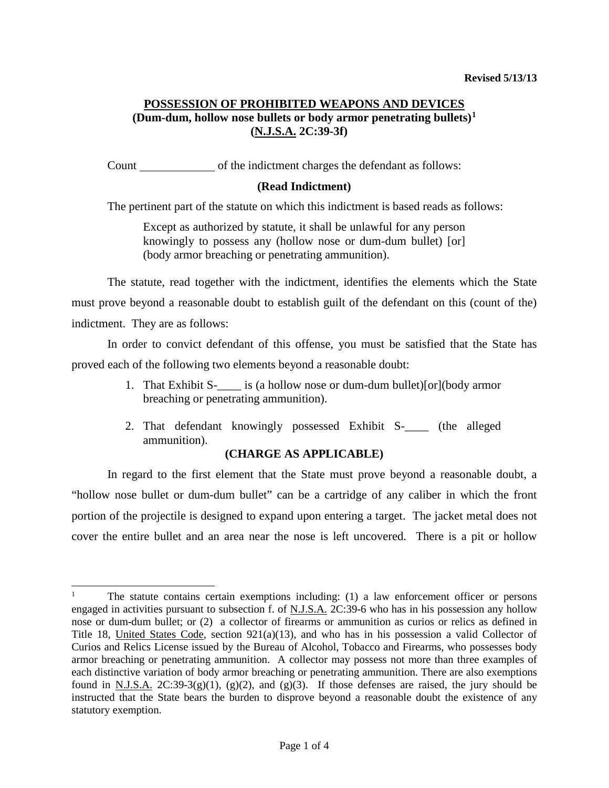# **POSSESSION OF PROHIBITED WEAPONS AND DEVICES (Dum-dum, hollow nose bullets or body armor penetrating bullets)[1](#page-0-0) (N.J.S.A. 2C:39-3f)**

Count of the indictment charges the defendant as follows:

## **(Read Indictment)**

The pertinent part of the statute on which this indictment is based reads as follows:

Except as authorized by statute, it shall be unlawful for any person knowingly to possess any (hollow nose or dum-dum bullet) [or] (body armor breaching or penetrating ammunition).

The statute, read together with the indictment, identifies the elements which the State must prove beyond a reasonable doubt to establish guilt of the defendant on this (count of the) indictment. They are as follows:

In order to convict defendant of this offense, you must be satisfied that the State has proved each of the following two elements beyond a reasonable doubt:

- 1. That Exhibit S- is (a hollow nose or dum-dum bullet)[or](body armor breaching or penetrating ammunition).
- 2. That defendant knowingly possessed Exhibit S-\_\_\_\_ (the alleged ammunition).

### **(CHARGE AS APPLICABLE)**

In regard to the first element that the State must prove beyond a reasonable doubt, a "hollow nose bullet or dum-dum bullet" can be a cartridge of any caliber in which the front portion of the projectile is designed to expand upon entering a target. The jacket metal does not cover the entire bullet and an area near the nose is left uncovered. There is a pit or hollow

 $\overline{a}$ 

<span id="page-0-0"></span><sup>1</sup> The statute contains certain exemptions including: (1) a law enforcement officer or persons engaged in activities pursuant to subsection f. of N.J.S.A. 2C:39-6 who has in his possession any hollow nose or dum-dum bullet; or (2) a collector of firearms or ammunition as curios or relics as defined in Title 18, United States Code, section 921(a)(13), and who has in his possession a valid Collector of Curios and Relics License issued by the Bureau of Alcohol, Tobacco and Firearms, who possesses body armor breaching or penetrating ammunition. A collector may possess not more than three examples of each distinctive variation of body armor breaching or penetrating ammunition. There are also exemptions found in N.J.S.A.  $2C:39-3(g)(1)$ ,  $(g)(2)$ , and  $(g)(3)$ . If those defenses are raised, the jury should be instructed that the State bears the burden to disprove beyond a reasonable doubt the existence of any statutory exemption.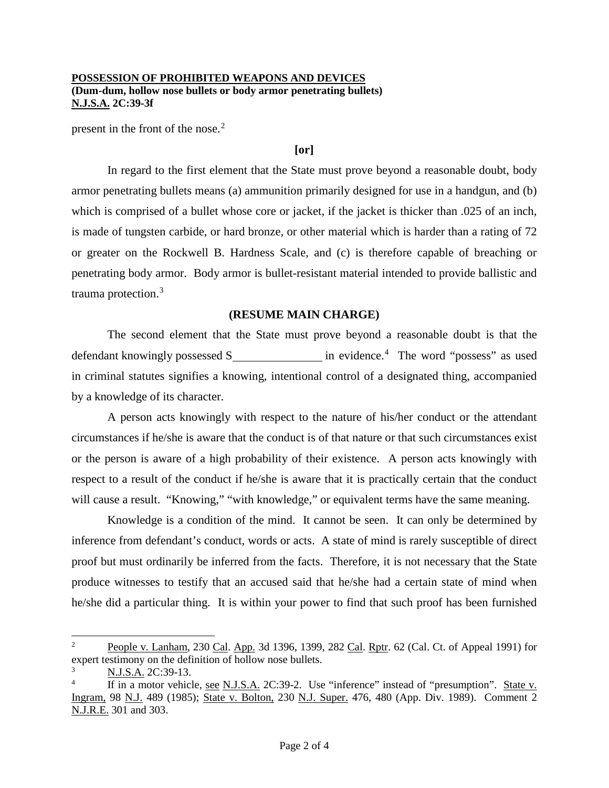#### **POSSESSION OF PROHIBITED WEAPONS AND DEVICES (Dum-dum, hollow nose bullets or body armor penetrating bullets) N.J.S.A. 2C:39-3f**

present in the front of the nose.<sup>[2](#page-1-0)</sup>

#### **[or]**

In regard to the first element that the State must prove beyond a reasonable doubt, body armor penetrating bullets means (a) ammunition primarily designed for use in a handgun, and (b) which is comprised of a bullet whose core or jacket, if the jacket is thicker than .025 of an inch, is made of tungsten carbide, or hard bronze, or other material which is harder than a rating of 72 or greater on the Rockwell B. Hardness Scale, and (c) is therefore capable of breaching or penetrating body armor. Body armor is bullet-resistant material intended to provide ballistic and trauma protection.[3](#page-1-1)

### **(RESUME MAIN CHARGE)**

The second element that the State must prove beyond a reasonable doubt is that the defendant knowingly possessed S\_\_\_\_\_\_\_\_\_\_\_\_\_\_\_\_\_\_ in evidence.<sup>[4](#page-1-2)</sup> The word "possess" as used in criminal statutes signifies a knowing, intentional control of a designated thing, accompanied by a knowledge of its character.

A person acts knowingly with respect to the nature of his/her conduct or the attendant circumstances if he/she is aware that the conduct is of that nature or that such circumstances exist or the person is aware of a high probability of their existence. A person acts knowingly with respect to a result of the conduct if he/she is aware that it is practically certain that the conduct will cause a result. "Knowing," "with knowledge," or equivalent terms have the same meaning.

Knowledge is a condition of the mind. It cannot be seen. It can only be determined by inference from defendant's conduct, words or acts. A state of mind is rarely susceptible of direct proof but must ordinarily be inferred from the facts. Therefore, it is not necessary that the State produce witnesses to testify that an accused said that he/she had a certain state of mind when he/she did a particular thing. It is within your power to find that such proof has been furnished

<span id="page-1-0"></span>People v. Lanham, 230 Cal. App. 3d 1396, 1399, 282 Cal. Rptr. 62 (Cal. Ct. of Appeal 1991) for expert testimony on the definition of hollow nose bullets.  $\overline{2}$ 

<span id="page-1-1"></span><sup>3</sup> N.J.S.A. 2C:39-13.

<span id="page-1-2"></span><sup>4</sup> If in a motor vehicle, see N.J.S.A. 2C:39-2. Use "inference" instead of "presumption". State v. Ingram, 98 N.J. 489 (1985); State v. Bolton, 230 N.J. Super. 476, 480 (App. Div. 1989). Comment 2 N.J.R.E. 301 and 303.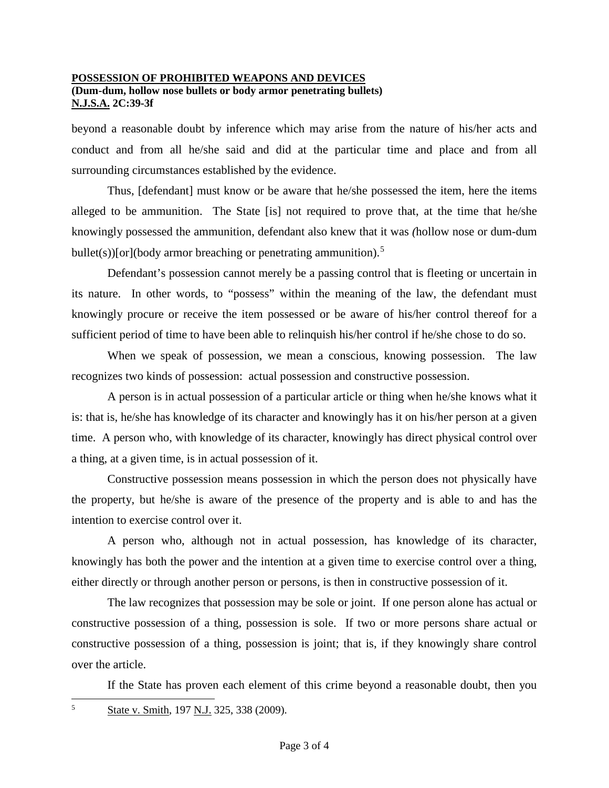#### **POSSESSION OF PROHIBITED WEAPONS AND DEVICES (Dum-dum, hollow nose bullets or body armor penetrating bullets) N.J.S.A. 2C:39-3f**

beyond a reasonable doubt by inference which may arise from the nature of his/her acts and conduct and from all he/she said and did at the particular time and place and from all surrounding circumstances established by the evidence.

Thus, [defendant] must know or be aware that he/she possessed the item, here the items alleged to be ammunition. The State [is] not required to prove that, at the time that he/she knowingly possessed the ammunition, defendant also knew that it was *(*hollow nose or dum-dum bullet(s))[or](body armor breaching or penetrating ammunition).<sup>[5](#page-2-0)</sup>

Defendant's possession cannot merely be a passing control that is fleeting or uncertain in its nature. In other words, to "possess" within the meaning of the law, the defendant must knowingly procure or receive the item possessed or be aware of his/her control thereof for a sufficient period of time to have been able to relinquish his/her control if he/she chose to do so.

When we speak of possession, we mean a conscious, knowing possession. The law recognizes two kinds of possession: actual possession and constructive possession.

A person is in actual possession of a particular article or thing when he/she knows what it is: that is, he/she has knowledge of its character and knowingly has it on his/her person at a given time. A person who, with knowledge of its character, knowingly has direct physical control over a thing, at a given time, is in actual possession of it.

Constructive possession means possession in which the person does not physically have the property, but he/she is aware of the presence of the property and is able to and has the intention to exercise control over it.

A person who, although not in actual possession, has knowledge of its character, knowingly has both the power and the intention at a given time to exercise control over a thing, either directly or through another person or persons, is then in constructive possession of it.

The law recognizes that possession may be sole or joint. If one person alone has actual or constructive possession of a thing, possession is sole. If two or more persons share actual or constructive possession of a thing, possession is joint; that is, if they knowingly share control over the article.

<span id="page-2-0"></span>If the State has proven each element of this crime beyond a reasonable doubt, then you